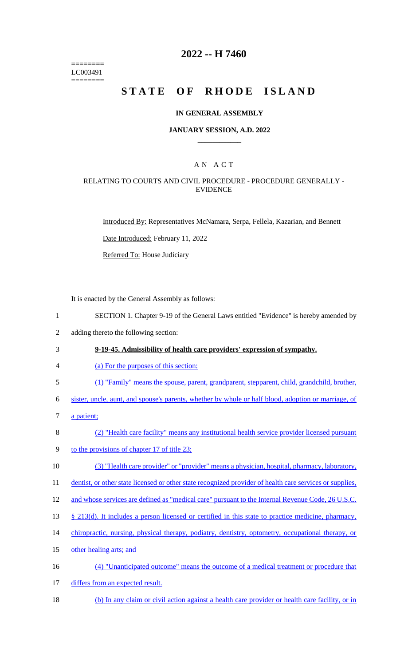======== LC003491 ========

## **2022 -- H 7460**

# STATE OF RHODE ISLAND

#### **IN GENERAL ASSEMBLY**

#### **JANUARY SESSION, A.D. 2022 \_\_\_\_\_\_\_\_\_\_\_\_**

## A N A C T

#### RELATING TO COURTS AND CIVIL PROCEDURE - PROCEDURE GENERALLY - EVIDENCE

Introduced By: Representatives McNamara, Serpa, Fellela, Kazarian, and Bennett

Date Introduced: February 11, 2022

Referred To: House Judiciary

It is enacted by the General Assembly as follows:

- 1 SECTION 1. Chapter 9-19 of the General Laws entitled "Evidence" is hereby amended by
- 2 adding thereto the following section:

#### 3 **9-19-45. Admissibility of health care providers' expression of sympathy.**

- 4 (a) For the purposes of this section:
- 5 (1) "Family" means the spouse, parent, grandparent, stepparent, child, grandchild, brother,

6 sister, uncle, aunt, and spouse's parents, whether by whole or half blood, adoption or marriage, of

- 7 a patient;
- 8 (2) "Health care facility" means any institutional health service provider licensed pursuant
- 9 to the provisions of chapter 17 of title 23;
- 10 (3) "Health care provider" or "provider" means a physician, hospital, pharmacy, laboratory,

11 dentist, or other state licensed or other state recognized provider of health care services or supplies,

- 12 and whose services are defined as "medical care" pursuant to the Internal Revenue Code, 26 U.S.C.
- 13 § 213(d). It includes a person licensed or certified in this state to practice medicine, pharmacy,
- 14 chiropractic, nursing, physical therapy, podiatry, dentistry, optometry, occupational therapy, or
- 15 other healing arts; and
- 16 (4) "Unanticipated outcome" means the outcome of a medical treatment or procedure that
- 17 differs from an expected result.
- 18 (b) In any claim or civil action against a health care provider or health care facility, or in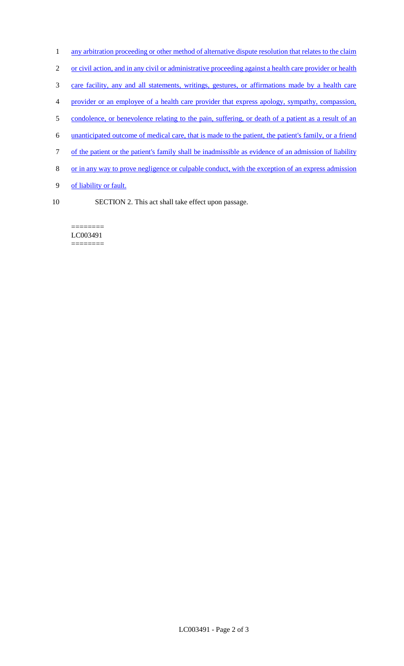- 1 any arbitration proceeding or other method of alternative dispute resolution that relates to the claim
- 2 or civil action, and in any civil or administrative proceeding against a health care provider or health
- 3 care facility, any and all statements, writings, gestures, or affirmations made by a health care
- 4 provider or an employee of a health care provider that express apology, sympathy, compassion,
- 5 condolence, or benevolence relating to the pain, suffering, or death of a patient as a result of an
- 6 unanticipated outcome of medical care, that is made to the patient, the patient's family, or a friend
- 7 of the patient or the patient's family shall be inadmissible as evidence of an admission of liability
- 8 or in any way to prove negligence or culpable conduct, with the exception of an express admission
- 9 of liability or fault.
- 
- 10 SECTION 2. This act shall take effect upon passage.

======== LC003491 ========